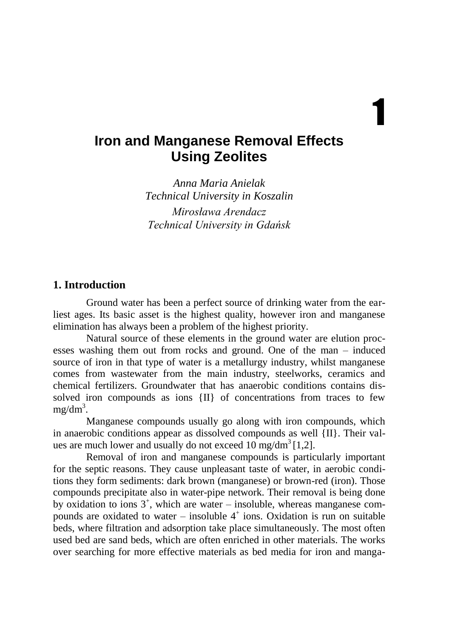# **Iron and Manganese Removal Effects Using Zeolites**

1

*Anna Maria Anielak Technical University in Koszalin*

*Mirosława Arendacz Technical University in Gdańsk*

## **1. Introduction**

Ground water has been a perfect source of drinking water from the earliest ages. Its basic asset is the highest quality, however iron and manganese elimination has always been a problem of the highest priority.

Natural source of these elements in the ground water are elution processes washing them out from rocks and ground. One of the man – induced source of iron in that type of water is a metallurgy industry, whilst manganese comes from wastewater from the main industry, steelworks, ceramics and chemical fertilizers. Groundwater that has anaerobic conditions contains dissolved iron compounds as ions {II} of concentrations from traces to few  $mg/dm<sup>3</sup>$ .

Manganese compounds usually go along with iron compounds, which in anaerobic conditions appear as dissolved compounds as well  $\{II\}$ . Their values are much lower and usually do not exceed 10 mg/dm<sup>3</sup>[1,2].

Removal of iron and manganese compounds is particularly important for the septic reasons. They cause unpleasant taste of water, in aerobic conditions they form sediments: dark brown (manganese) or brown-red (iron). Those compounds precipitate also in water-pipe network. Their removal is being done by oxidation to ions  $3^+$ , which are water – insoluble, whereas manganese compounds are oxidated to water – insoluble  $4^+$  ions. Oxidation is run on suitable beds, where filtration and adsorption take place simultaneously. The most often used bed are sand beds, which are often enriched in other materials. The works over searching for more effective materials as bed media for iron and manga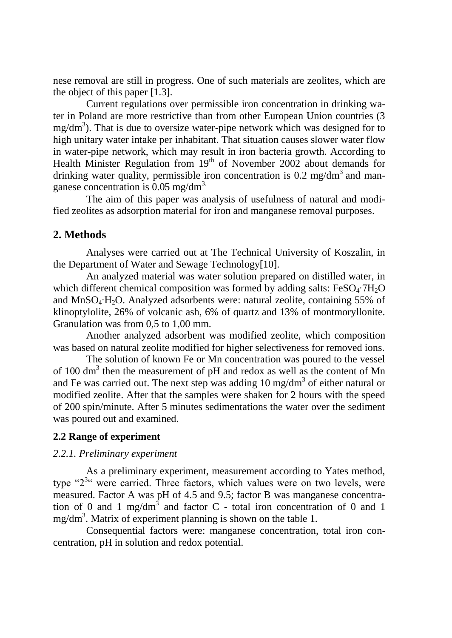nese removal are still in progress. One of such materials are zeolites, which are the object of this paper [1.3].

Current regulations over permissible iron concentration in drinking water in Poland are more restrictive than from other European Union countries (3  $mg/dm<sup>3</sup>$ ). That is due to oversize water-pipe network which was designed for to high unitary water intake per inhabitant. That situation causes slower water flow in water-pipe network, which may result in iron bacteria growth. According to Health Minister Regulation from  $19<sup>th</sup>$  of November 2002 about demands for drinking water quality, permissible iron concentration is  $0.2 \text{ mg/dm}^3$  and manganese concentration is 0.05 mg/dm3.

The aim of this paper was analysis of usefulness of natural and modified zeolites as adsorption material for iron and manganese removal purposes.

## **2. Methods**

Analyses were carried out at The Technical University of Koszalin, in the Department of Water and Sewage Technology[10].

An analyzed material was water solution prepared on distilled water, in which different chemical composition was formed by adding salts:  $FeSO<sub>4</sub>·7H<sub>2</sub>O$ and  $MnSO_4·H_2O$ . Analyzed adsorbents were: natural zeolite, containing 55% of klinoptylolite, 26% of volcanic ash, 6% of quartz and 13% of montmoryllonite. Granulation was from 0,5 to 1,00 mm.

Another analyzed adsorbent was modified zeolite, which composition was based on natural zeolite modified for higher selectiveness for removed ions.

The solution of known Fe or Mn concentration was poured to the vessel of 100 dm<sup>3</sup> then the measurement of pH and redox as well as the content of Mn and Fe was carried out. The next step was adding  $10 \text{ mg/dm}^3$  of either natural or modified zeolite. After that the samples were shaken for 2 hours with the speed of 200 spin/minute. After 5 minutes sedimentations the water over the sediment was poured out and examined.

#### **2.2 Range of experiment**

#### *2.2.1. Preliminary experiment*

As a preliminary experiment, measurement according to Yates method, type " $2^{3}$ " were carried. Three factors, which values were on two levels, were measured. Factor A was pH of 4.5 and 9.5; factor B was manganese concentration of 0 and 1 mg/dm<sup>3</sup> and factor C - total iron concentration of 0 and 1  $mg/dm<sup>3</sup>$ . Matrix of experiment planning is shown on the table 1.

Consequential factors were: manganese concentration, total iron concentration, pH in solution and redox potential.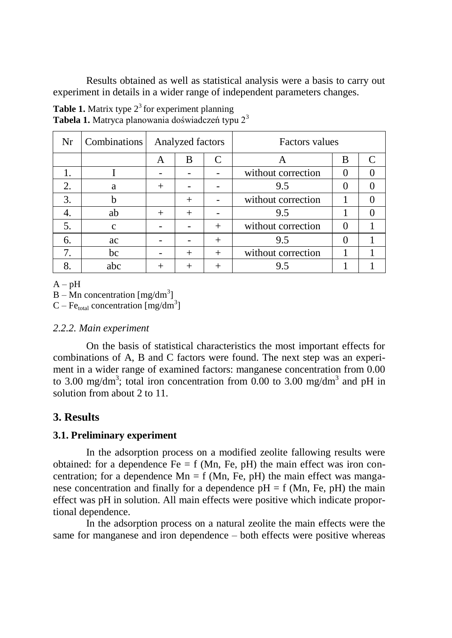Results obtained as well as statistical analysis were a basis to carry out experiment in details in a wider range of independent parameters changes.

| Nr | <b>Combinations</b> | Analyzed factors |                |         | <b>Factors</b> values |          |   |
|----|---------------------|------------------|----------------|---------|-----------------------|----------|---|
|    |                     | A                | B              | C       | А                     | B        | C |
|    |                     |                  |                |         | without correction    | $\theta$ |   |
| 2. | a                   | $^{+}$           |                |         | 9.5                   |          |   |
| 3. | h                   |                  | $\overline{+}$ |         | without correction    |          |   |
| 4. | ab                  | $^{+}$           | $\overline{+}$ |         | 9.5                   |          |   |
| 5. | C                   |                  |                | $^{+}$  | without correction    | $\Omega$ |   |
| 6. | ac                  |                  |                | $^{+}$  | 9.5                   |          |   |
| 7. | bc                  |                  | $+$            | $^{+}$  | without correction    |          |   |
| 8. | abc                 | $\,+\,$          |                | $\,+\,$ | 9.5                   |          |   |

**Table 1.** Matrix type  $2<sup>3</sup>$  for experiment planning **Tabela 1.** Matryca planowania doświadczeń typu 2<sup>3</sup>

 $A - pH$ 

 $B - Mn$  concentration [mg/dm<sup>3</sup>]

 $C - Fe<sub>total</sub> concentration [mg/dm<sup>3</sup>]$ 

## *2.2.2. Main experiment*

On the basis of statistical characteristics the most important effects for combinations of A, B and C factors were found. The next step was an experiment in a wider range of examined factors: manganese concentration from 0.00 to 3.00 mg/dm<sup>3</sup>; total iron concentration from 0.00 to 3.00 mg/dm<sup>3</sup> and pH in solution from about 2 to 11.

## **3. Results**

## **3.1. Preliminary experiment**

In the adsorption process on a modified zeolite fallowing results were obtained: for a dependence  $Fe = f (Mn, Fe, pH)$  the main effect was iron concentration; for a dependence  $Mn = f (Mn, Fe, pH)$  the main effect was manganese concentration and finally for a dependence  $pH = f$  (Mn, Fe,  $pH$ ) the main effect was pH in solution. All main effects were positive which indicate proportional dependence.

In the adsorption process on a natural zeolite the main effects were the same for manganese and iron dependence – both effects were positive whereas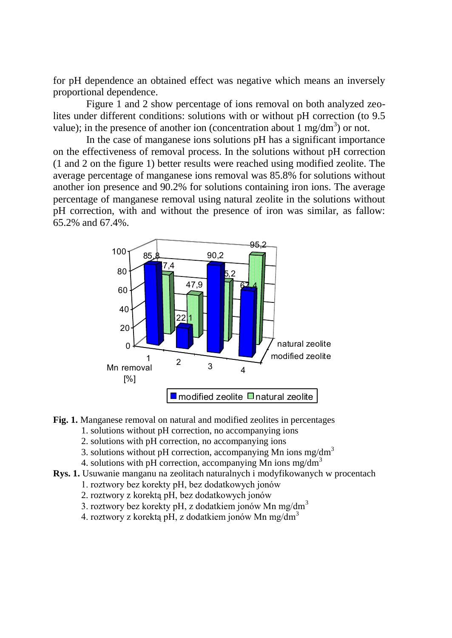for pH dependence an obtained effect was negative which means an inversely proportional dependence.

Figure 1 and 2 show percentage of ions removal on both analyzed zeolites under different conditions: solutions with or without pH correction (to 9.5 value); in the presence of another ion (concentration about  $1 \text{ mg/dm}^3$ ) or not.

In the case of manganese ions solutions pH has a significant importance on the effectiveness of removal process. In the solutions without pH correction (1 and 2 on the figure 1) better results were reached using modified zeolite. The average percentage of manganese ions removal was 85.8% for solutions without another ion presence and 90.2% for solutions containing iron ions. The average percentage of manganese removal using natural zeolite in the solutions without pH correction, with and without the presence of iron was similar, as fallow: 65.2% and 67.4%.



- Fig. 1. Manganese removal on natural and modified zeolites in percentages
	- 1. solutions without pH correction, no accompanying ions
	- 2. solutions with pH correction, no accompanying ions
	- 3. solutions without pH correction, accompanying Mn ions mg/dm<sup>3</sup>
	- 4. solutions with pH correction, accompanying Mn ions mg/dm<sup>3</sup>
- **Rys. 1.** Usuwanie manganu na zeolitach naturalnych i modyfikowanych w procentach
	- 1. roztwory bez korekty pH, bez dodatkowych jonów
	- 2. roztwory z korektą pH, bez dodatkowych jonów
	- 3. roztwory bez korekty pH, z dodatkiem jonów Mn mg/dm<sup>3</sup>
	- 4. roztwory z korektą pH, z dodatkiem jonów Mn mg/dm<sup>3</sup>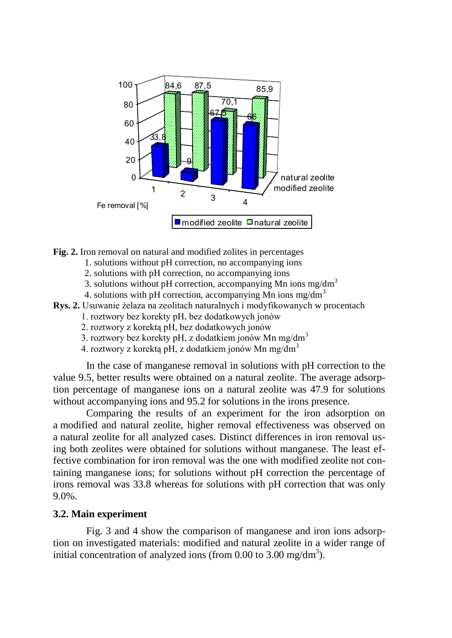

- **Fig. 2.** Iron removal on natural and modified zolites in percentages
	- 1. solutions without pH correction, no accompanying ions
	- 2. solutions with pH correction, no accompanying ions
	- 3. solutions without pH correction, accompanying Mn ions mg/dm<sup>3</sup>
	- 4. solutions with pH correction, accompanying Mn ions mg/dm<sup>3</sup>
- **Rys. 2.** Usuwanie żelaza na zeolitach naturalnych i modyfikowanych w procentach
	- 1. roztwory bez korekty pH, bez dodatkowych jonów
	- 2. roztwory z korektą pH, bez dodatkowych jonów
	- 3. roztwory bez korekty pH, z dodatkiem jonów Mn mg/dm<sup>3</sup>
	- 4. roztwory z korektą pH, z dodatkiem jonów Mn mg/dm<sup>3</sup>

In the case of manganese removal in solutions with pH correction to the value 9.5, better results were obtained on a natural zeolite. The average adsorption percentage of manganese ions on a natural zeolite was 47.9 for solutions without accompanying ions and 95.2 for solutions in the irons presence.

Comparing the results of an experiment for the iron adsorption on a modified and natural zeolite, higher removal effectiveness was observed on a natural zeolite for all analyzed cases. Distinct differences in iron removal using both zeolites were obtained for solutions without manganese. The least effective combination for iron removal was the one with modified zeolite not containing manganese ions; for solutions without pH correction the percentage of irons removal was 33.8 whereas for solutions with pH correction that was only 9.0%.

### **3.2. Main experiment**

Fig. 3 and 4 show the comparison of manganese and iron ions adsorption on investigated materials: modified and natural zeolite in a wider range of initial concentration of analyzed ions (from 0.00 to 3.00 mg/dm<sup>3</sup>).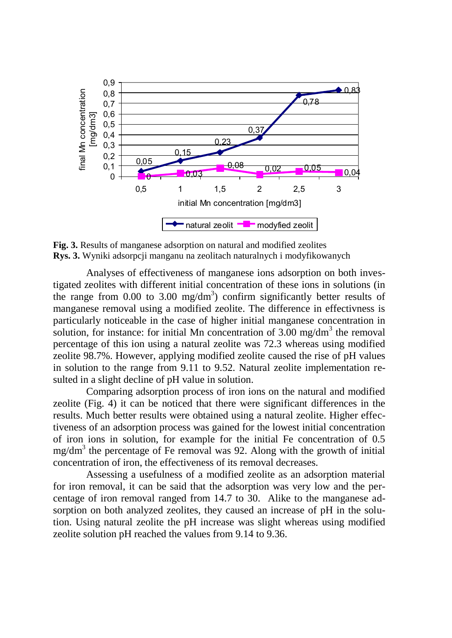

**Fig. 3.** Results of manganese adsorption on natural and modified zeolites **Rys. 3.** Wyniki adsorpcji manganu na zeolitach naturalnych i modyfikowanych

Analyses of effectiveness of manganese ions adsorption on both investigated zeolites with different initial concentration of these ions in solutions (in the range from 0.00 to 3.00 mg/dm<sup>3</sup>) confirm significantly better results of manganese removal using a modified zeolite. The difference in effectivness is particularly noticeable in the case of higher initial manganese concentration in solution, for instance: for initial Mn concentration of  $3.00 \text{ mg/dm}^3$  the removal percentage of this ion using a natural zeolite was 72.3 whereas using modified zeolite 98.7%. However, applying modified zeolite caused the rise of pH values in solution to the range from 9.11 to 9.52. Natural zeolite implementation resulted in a slight decline of pH value in solution.

Comparing adsorption process of iron ions on the natural and modified zeolite (Fig. 4) it can be noticed that there were significant differences in the results. Much better results were obtained using a natural zeolite. Higher effectiveness of an adsorption process was gained for the lowest initial concentration of iron ions in solution, for example for the initial Fe concentration of 0.5 mg/dm<sup>3</sup> the percentage of Fe removal was 92. Along with the growth of initial concentration of iron, the effectiveness of its removal decreases.

Assessing a usefulness of a modified zeolite as an adsorption material for iron removal, it can be said that the adsorption was very low and the percentage of iron removal ranged from 14.7 to 30. Alike to the manganese adsorption on both analyzed zeolites, they caused an increase of pH in the solution. Using natural zeolite the pH increase was slight whereas using modified zeolite solution pH reached the values from 9.14 to 9.36.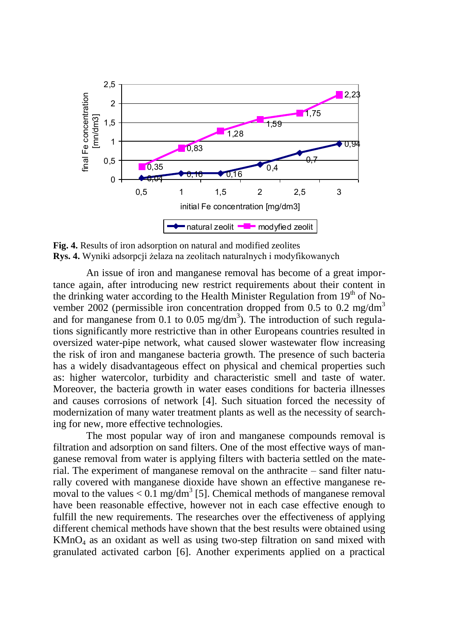

**Fig. 4.** Results of iron adsorption on natural and modified zeolites **Rys. 4.** Wyniki adsorpcji żelaza na zeolitach naturalnych i modyfikowanych

An issue of iron and manganese removal has become of a great importance again, after introducing new restrict requirements about their content in the drinking water according to the Health Minister Regulation from  $19<sup>th</sup>$  of November 2002 (permissible iron concentration dropped from 0.5 to 0.2 mg/dm<sup>3</sup> and for manganese from 0.1 to 0.05 mg/dm<sup>3</sup>). The introduction of such regulations significantly more restrictive than in other Europeans countries resulted in oversized water-pipe network, what caused slower wastewater flow increasing the risk of iron and manganese bacteria growth. The presence of such bacteria has a widely disadvantageous effect on physical and chemical properties such as: higher watercolor, turbidity and characteristic smell and taste of water. Moreover, the bacteria growth in water eases conditions for bacteria illnesses and causes corrosions of network [4]. Such situation forced the necessity of modernization of many water treatment plants as well as the necessity of searching for new, more effective technologies.

The most popular way of iron and manganese compounds removal is filtration and adsorption on sand filters. One of the most effective ways of manganese removal from water is applying filters with bacteria settled on the material. The experiment of manganese removal on the anthracite – sand filter naturally covered with manganese dioxide have shown an effective manganese removal to the values  $< 0.1$  mg/dm<sup>3</sup> [5]. Chemical methods of manganese removal have been reasonable effective, however not in each case effective enough to fulfill the new requirements. The researches over the effectiveness of applying different chemical methods have shown that the best results were obtained using  $KMnO<sub>4</sub>$  as an oxidant as well as using two-step filtration on sand mixed with granulated activated carbon [6]. Another experiments applied on a practical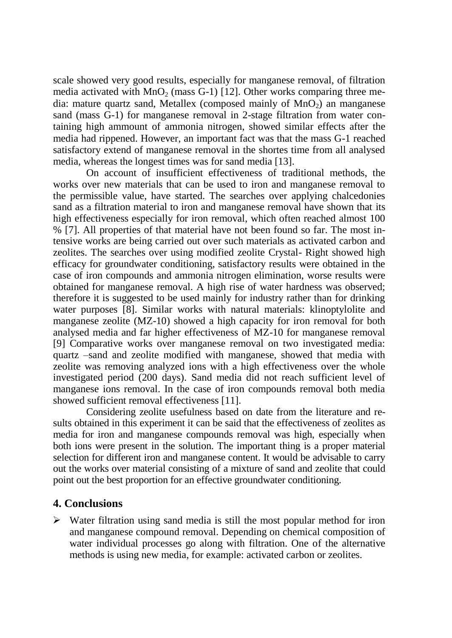scale showed very good results, especially for manganese removal, of filtration media activated with  $MnO<sub>2</sub>$  (mass G-1) [12]. Other works comparing three media: mature quartz sand, Metallex (composed mainly of  $MnO<sub>2</sub>$ ) an manganese sand (mass  $\tilde{G}$ -1) for manganese removal in 2-stage filtration from water containing high ammount of ammonia nitrogen, showed similar effects after the media had rippened. However, an important fact was that the mass G-1 reached satisfactory extend of manganese removal in the shortes time from all analysed media, whereas the longest times was for sand media [13].

On account of insufficient effectiveness of traditional methods, the works over new materials that can be used to iron and manganese removal to the permissible value, have started. The searches over applying chalcedonies sand as a filtration material to iron and manganese removal have shown that its high effectiveness especially for iron removal, which often reached almost 100 % [7]. All properties of that material have not been found so far. The most intensive works are being carried out over such materials as activated carbon and zeolites. The searches over using modified zeolite Crystal- Right showed high efficacy for groundwater conditioning, satisfactory results were obtained in the case of iron compounds and ammonia nitrogen elimination, worse results were obtained for manganese removal. A high rise of water hardness was observed; therefore it is suggested to be used mainly for industry rather than for drinking water purposes [8]. Similar works with natural materials: klinoptylolite and manganese zeolite (MZ-10) showed a high capacity for iron removal for both analysed media and far higher effectiveness of MZ-10 for manganese removal [9] Comparative works over manganese removal on two investigated media: quartz –sand and zeolite modified with manganese, showed that media with zeolite was removing analyzed ions with a high effectiveness over the whole investigated period (200 days). Sand media did not reach sufficient level of manganese ions removal. In the case of iron compounds removal both media showed sufficient removal effectiveness [11].

Considering zeolite usefulness based on date from the literature and results obtained in this experiment it can be said that the effectiveness of zeolites as media for iron and manganese compounds removal was high, especially when both ions were present in the solution. The important thing is a proper material selection for different iron and manganese content. It would be advisable to carry out the works over material consisting of a mixture of sand and zeolite that could point out the best proportion for an effective groundwater conditioning.

## **4. Conclusions**

 $\triangleright$  Water filtration using sand media is still the most popular method for iron and manganese compound removal. Depending on chemical composition of water individual processes go along with filtration. One of the alternative methods is using new media, for example: activated carbon or zeolites.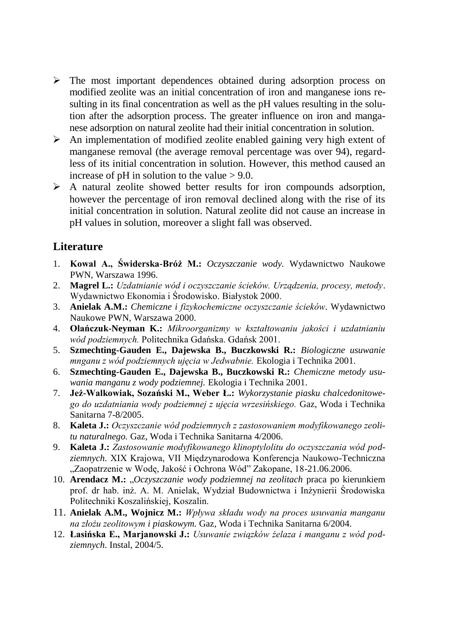- The most important dependences obtained during adsorption process on modified zeolite was an initial concentration of iron and manganese ions resulting in its final concentration as well as the pH values resulting in the solution after the adsorption process. The greater influence on iron and manganese adsorption on natural zeolite had their initial concentration in solution.
- $\triangleright$  An implementation of modified zeolite enabled gaining very high extent of manganese removal (the average removal percentage was over 94), regardless of its initial concentration in solution. However, this method caused an increase of  $pH$  in solution to the value  $> 9.0$ .
- $\triangleright$  A natural zeolite showed better results for iron compounds adsorption, however the percentage of iron removal declined along with the rise of its initial concentration in solution. Natural zeolite did not cause an increase in pH values in solution, moreover a slight fall was observed.

## **Literature**

- 1. **Kowal A., Świderska-Bróż M.:** *Oczyszczanie wody.* Wydawnictwo Naukowe PWN, Warszawa 1996.
- 2. **Magrel L.:** *Uzdatnianie wód i oczyszczanie ścieków. Urządzenia, procesy, metody*. Wydawnictwo Ekonomia i Środowisko. Białystok 2000.
- 3. **Anielak A.M.:** *Chemiczne i fizykochemiczne oczyszczanie ścieków*. Wydawnictwo Naukowe PWN, Warszawa 2000.
- 4. **Olańczuk-Neyman K.:** *Mikroorganizmy w kształtowaniu jakości i uzdatnianiu wód podziemnych.* Politechnika Gdańska. Gdańsk 2001.
- 5. **Szmechting-Gauden E., Dajewska B., Buczkowski R.:** *Biologiczne usuwanie mnganu z wód podziemnych ujęcia w Jedwabnie.* Ekologia i Technika 2001.
- 6. **Szmechting-Gauden E., Dajewska B., Buczkowski R.:** *Chemiczne metody usuwania manganu z wody podziemnej.* Ekologia i Technika 2001.
- 7. **Jeż-Walkowiak, Sozański M., Weber Ł.:** *Wykorzystanie piasku chalcedonitowego do uzdatniania wody podziemnej z ujęcia wrzesińskiego.* Gaz, Woda i Technika Sanitarna 7-8/2005.
- 8. **Kaleta J.:** *Oczyszczanie wód podziemnych z zastosowaniem modyfikowanego zeolitu naturalnego.* Gaz, Woda i Technika Sanitarna 4/2006.
- 9. **Kaleta J.:** *Zastosowanie modyfikowanego klinoptylolitu do oczyszczania wód podziemnych.* XIX Krajowa, VII Międzynarodowa Konferencja Naukowo-Techniczna "Zaopatrzenie w Wodę, Jakość i Ochrona Wód" Zakopane, 18-21.06.2006.
- 10. **Arendacz M.:** "*Oczyszczanie wody podziemnej na zeolitach* praca po kierunkiem prof. dr hab. inż. A. M. Anielak, Wydział Budownictwa i Inżynierii Środowiska Politechniki Koszalińskiej, Koszalin.
- 11. **Anielak A.M., Wojnicz M.:** *Wpływa składu wody na proces usuwania manganu na złożu zeolitowym i piaskowym.* Gaz, Woda i Technika Sanitarna 6/2004.
- 12. **Łasińska E., Marjanowski J.:** *Usuwanie związków żelaza i manganu z wód podziemnych.* Instal, 2004/5.